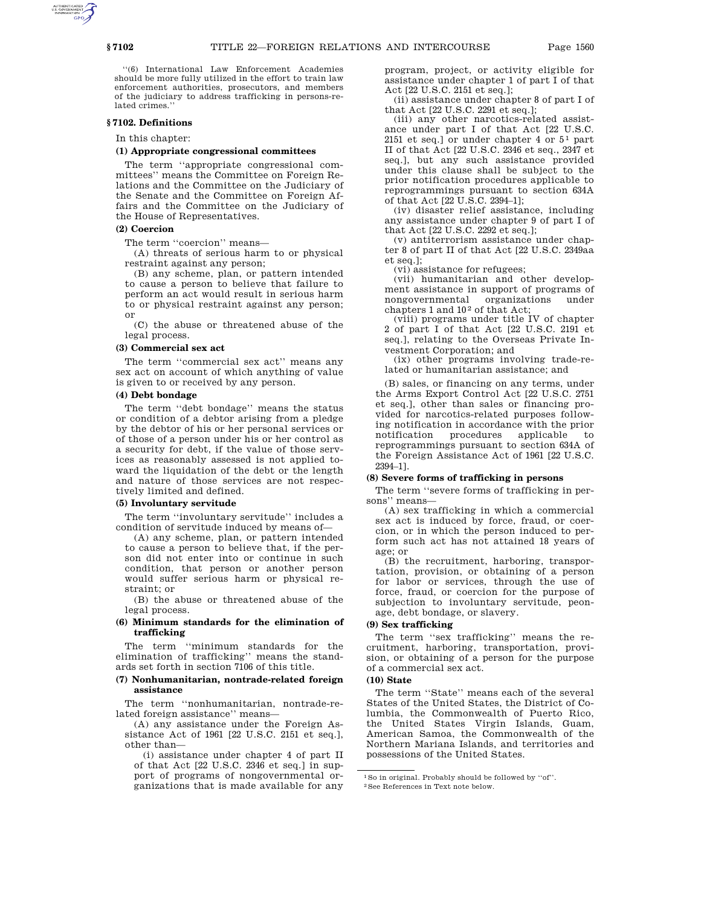''(6) International Law Enforcement Academies should be more fully utilized in the effort to train law enforcement authorities, prosecutors, and members of the judiciary to address trafficking in persons-related crimes.''

#### **§ 7102. Definitions**

In this chapter:

## **(1) Appropriate congressional committees**

The term ''appropriate congressional committees'' means the Committee on Foreign Relations and the Committee on the Judiciary of the Senate and the Committee on Foreign Affairs and the Committee on the Judiciary of the House of Representatives.

### **(2) Coercion**

The term "coercion" means-

(A) threats of serious harm to or physical restraint against any person;

(B) any scheme, plan, or pattern intended to cause a person to believe that failure to perform an act would result in serious harm to or physical restraint against any person; or

(C) the abuse or threatened abuse of the legal process.

### **(3) Commercial sex act**

The term ''commercial sex act'' means any sex act on account of which anything of value is given to or received by any person.

## **(4) Debt bondage**

The term ''debt bondage'' means the status or condition of a debtor arising from a pledge by the debtor of his or her personal services or of those of a person under his or her control as a security for debt, if the value of those services as reasonably assessed is not applied toward the liquidation of the debt or the length and nature of those services are not respectively limited and defined.

#### **(5) Involuntary servitude**

The term ''involuntary servitude'' includes a condition of servitude induced by means of—

(A) any scheme, plan, or pattern intended to cause a person to believe that, if the person did not enter into or continue in such condition, that person or another person would suffer serious harm or physical restraint; or

(B) the abuse or threatened abuse of the legal process.

## **(6) Minimum standards for the elimination of trafficking**

The term ''minimum standards for the elimination of trafficking'' means the standards set forth in section 7106 of this title.

### **(7) Nonhumanitarian, nontrade-related foreign assistance**

The term ''nonhumanitarian, nontrade-related foreign assistance'' means—

(A) any assistance under the Foreign Assistance Act of 1961 [22 U.S.C. 2151 et seq.], other than—

(i) assistance under chapter 4 of part II of that Act [22 U.S.C. 2346 et seq.] in support of programs of nongovernmental organizations that is made available for any

program, project, or activity eligible for assistance under chapter 1 of part I of that Act [22 U.S.C. 2151 et seq.];

(ii) assistance under chapter 8 of part I of that Act [22 U.S.C. 2291 et seq.];

(iii) any other narcotics-related assistance under part I of that Act [22 U.S.C. 2151 et seq.] or under chapter 4 or  $5^1$  part II of that Act [22 U.S.C. 2346 et seq., 2347 et seq.], but any such assistance provided under this clause shall be subject to the prior notification procedures applicable to reprogrammings pursuant to section 634A of that Act [22 U.S.C. 2394–1];

(iv) disaster relief assistance, including any assistance under chapter 9 of part I of that Act [22 U.S.C. 2292 et seq.];

(v) antiterrorism assistance under chapter 8 of part II of that Act [22 U.S.C. 2349aa et seq.];

(vi) assistance for refugees;

(vii) humanitarian and other development assistance in support of programs of nongovernmental organizations under chapters 1 and  $10<sup>2</sup>$  of that Act;

(viii) programs under title IV of chapter 2 of part I of that Act [22 U.S.C. 2191 et seq.], relating to the Overseas Private Investment Corporation; and

(ix) other programs involving trade-related or humanitarian assistance; and

(B) sales, or financing on any terms, under the Arms Export Control Act [22 U.S.C. 2751 et seq.], other than sales or financing provided for narcotics-related purposes following notification in accordance with the prior notification procedures applicable to reprogrammings pursuant to section 634A of the Foreign Assistance Act of 1961 [22 U.S.C. 2394–1].

#### **(8) Severe forms of trafficking in persons**

The term ''severe forms of trafficking in persons'' means—

(A) sex trafficking in which a commercial sex act is induced by force, fraud, or coercion, or in which the person induced to perform such act has not attained 18 years of age; or

(B) the recruitment, harboring, transportation, provision, or obtaining of a person for labor or services, through the use of force, fraud, or coercion for the purpose of subjection to involuntary servitude, peonage, debt bondage, or slavery.

#### **(9) Sex trafficking**

The term ''sex trafficking'' means the recruitment, harboring, transportation, provision, or obtaining of a person for the purpose of a commercial sex act.

# **(10) State**

The term ''State'' means each of the several States of the United States, the District of Columbia, the Commonwealth of Puerto Rico, the United States Virgin Islands, Guam, American Samoa, the Commonwealth of the Northern Mariana Islands, and territories and possessions of the United States.

<sup>1</sup>So in original. Probably should be followed by ''of''. 2See References in Text note below.